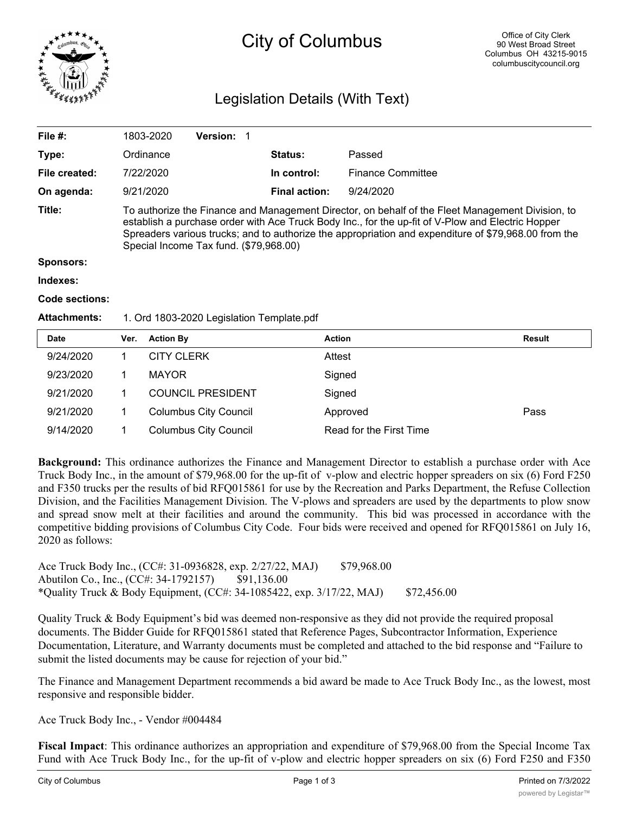

# City of Columbus

# Legislation Details (With Text)

| File $#$ :          | 1803-2020                                                                                                                                                                                                                                                                                                                                               | <b>Version: 1</b>                         |                      |                          |  |  |
|---------------------|---------------------------------------------------------------------------------------------------------------------------------------------------------------------------------------------------------------------------------------------------------------------------------------------------------------------------------------------------------|-------------------------------------------|----------------------|--------------------------|--|--|
| Type:               | Ordinance                                                                                                                                                                                                                                                                                                                                               |                                           | <b>Status:</b>       | Passed                   |  |  |
| File created:       | 7/22/2020                                                                                                                                                                                                                                                                                                                                               |                                           | In control:          | <b>Finance Committee</b> |  |  |
| On agenda:          | 9/21/2020                                                                                                                                                                                                                                                                                                                                               |                                           | <b>Final action:</b> | 9/24/2020                |  |  |
| Title:              | To authorize the Finance and Management Director, on behalf of the Fleet Management Division, to<br>establish a purchase order with Ace Truck Body Inc., for the up-fit of V-Plow and Electric Hopper<br>Spreaders various trucks; and to authorize the appropriation and expenditure of \$79,968.00 from the<br>Special Income Tax fund. (\$79,968.00) |                                           |                      |                          |  |  |
| <b>Sponsors:</b>    |                                                                                                                                                                                                                                                                                                                                                         |                                           |                      |                          |  |  |
| Indexes:            |                                                                                                                                                                                                                                                                                                                                                         |                                           |                      |                          |  |  |
| Code sections:      |                                                                                                                                                                                                                                                                                                                                                         |                                           |                      |                          |  |  |
| <b>Attachments:</b> |                                                                                                                                                                                                                                                                                                                                                         | 1. Ord 1803-2020 Legislation Template.pdf |                      |                          |  |  |
|                     |                                                                                                                                                                                                                                                                                                                                                         |                                           |                      |                          |  |  |

| <b>Date</b> | Ver. | <b>Action By</b>             | <b>Action</b>           | <b>Result</b> |
|-------------|------|------------------------------|-------------------------|---------------|
| 9/24/2020   |      | <b>CITY CLERK</b>            | Attest                  |               |
| 9/23/2020   |      | <b>MAYOR</b>                 | Signed                  |               |
| 9/21/2020   |      | <b>COUNCIL PRESIDENT</b>     | Signed                  |               |
| 9/21/2020   |      | <b>Columbus City Council</b> | Approved                | Pass          |
| 9/14/2020   |      | <b>Columbus City Council</b> | Read for the First Time |               |

**Background:** This ordinance authorizes the Finance and Management Director to establish a purchase order with Ace Truck Body Inc., in the amount of \$79,968.00 for the up-fit of v-plow and electric hopper spreaders on six (6) Ford F250 and F350 trucks per the results of bid RFQ015861 for use by the Recreation and Parks Department, the Refuse Collection Division, and the Facilities Management Division. The V-plows and spreaders are used by the departments to plow snow and spread snow melt at their facilities and around the community. This bid was processed in accordance with the competitive bidding provisions of Columbus City Code. Four bids were received and opened for RFQ015861 on July 16, 2020 as follows:

Ace Truck Body Inc., (CC#: 31-0936828, exp. 2/27/22, MAJ) \$79,968.00 Abutilon Co., Inc., (CC#: 34-1792157) \$91,136.00 \*Quality Truck & Body Equipment, (CC#: 34-1085422, exp. 3/17/22, MAJ) \$72,456.00

Quality Truck & Body Equipment's bid was deemed non-responsive as they did not provide the required proposal documents. The Bidder Guide for RFQ015861 stated that Reference Pages, Subcontractor Information, Experience Documentation, Literature, and Warranty documents must be completed and attached to the bid response and "Failure to submit the listed documents may be cause for rejection of your bid."

The Finance and Management Department recommends a bid award be made to Ace Truck Body Inc., as the lowest, most responsive and responsible bidder.

Ace Truck Body Inc., - Vendor #004484

**Fiscal Impact**: This ordinance authorizes an appropriation and expenditure of \$79,968.00 from the Special Income Tax Fund with Ace Truck Body Inc., for the up-fit of v-plow and electric hopper spreaders on six (6) Ford F250 and F350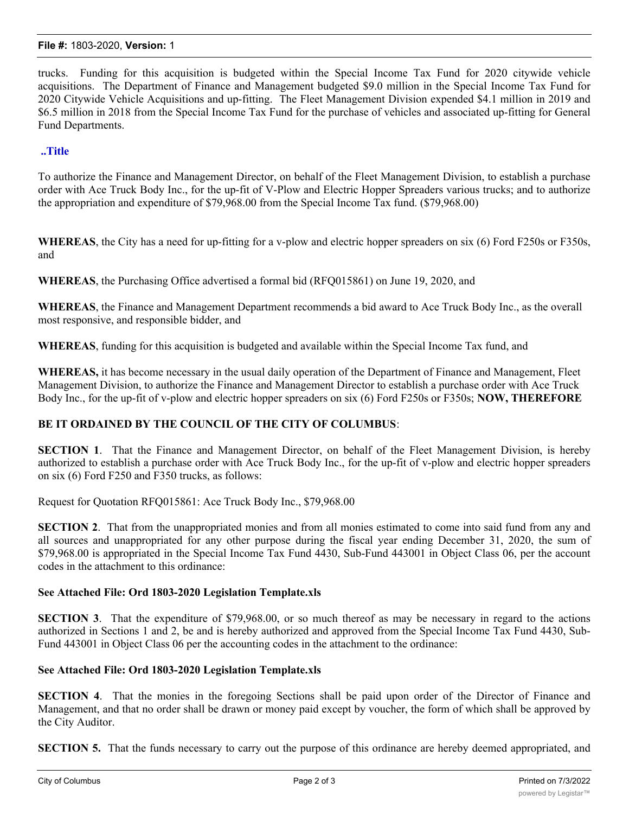#### **File #:** 1803-2020, **Version:** 1

trucks. Funding for this acquisition is budgeted within the Special Income Tax Fund for 2020 citywide vehicle acquisitions. The Department of Finance and Management budgeted \$9.0 million in the Special Income Tax Fund for 2020 Citywide Vehicle Acquisitions and up-fitting. The Fleet Management Division expended \$4.1 million in 2019 and \$6.5 million in 2018 from the Special Income Tax Fund for the purchase of vehicles and associated up-fitting for General Fund Departments.

## **..Title**

To authorize the Finance and Management Director, on behalf of the Fleet Management Division, to establish a purchase order with Ace Truck Body Inc., for the up-fit of V-Plow and Electric Hopper Spreaders various trucks; and to authorize the appropriation and expenditure of \$79,968.00 from the Special Income Tax fund. (\$79,968.00)

**WHEREAS**, the City has a need for up-fitting for a v-plow and electric hopper spreaders on six (6) Ford F250s or F350s, and

**WHEREAS**, the Purchasing Office advertised a formal bid (RFQ015861) on June 19, 2020, and

**WHEREAS**, the Finance and Management Department recommends a bid award to Ace Truck Body Inc., as the overall most responsive, and responsible bidder, and

**WHEREAS**, funding for this acquisition is budgeted and available within the Special Income Tax fund, and

**WHEREAS,** it has become necessary in the usual daily operation of the Department of Finance and Management, Fleet Management Division, to authorize the Finance and Management Director to establish a purchase order with Ace Truck Body Inc., for the up-fit of v-plow and electric hopper spreaders on six (6) Ford F250s or F350s; **NOW, THEREFORE**

## **BE IT ORDAINED BY THE COUNCIL OF THE CITY OF COLUMBUS**:

**SECTION 1**. That the Finance and Management Director, on behalf of the Fleet Management Division, is hereby authorized to establish a purchase order with Ace Truck Body Inc., for the up-fit of v-plow and electric hopper spreaders on six (6) Ford F250 and F350 trucks, as follows:

Request for Quotation RFQ015861: Ace Truck Body Inc., \$79,968.00

**SECTION 2**. That from the unappropriated monies and from all monies estimated to come into said fund from any and all sources and unappropriated for any other purpose during the fiscal year ending December 31, 2020, the sum of \$79,968.00 is appropriated in the Special Income Tax Fund 4430, Sub-Fund 443001 in Object Class 06, per the account codes in the attachment to this ordinance:

#### **See Attached File: Ord 1803-2020 Legislation Template.xls**

**SECTION 3**. That the expenditure of \$79,968.00, or so much thereof as may be necessary in regard to the actions authorized in Sections 1 and 2, be and is hereby authorized and approved from the Special Income Tax Fund 4430, Sub-Fund 443001 in Object Class 06 per the accounting codes in the attachment to the ordinance:

## **See Attached File: Ord 1803-2020 Legislation Template.xls**

**SECTION 4**. That the monies in the foregoing Sections shall be paid upon order of the Director of Finance and Management, and that no order shall be drawn or money paid except by voucher, the form of which shall be approved by the City Auditor.

**SECTION 5.** That the funds necessary to carry out the purpose of this ordinance are hereby deemed appropriated, and